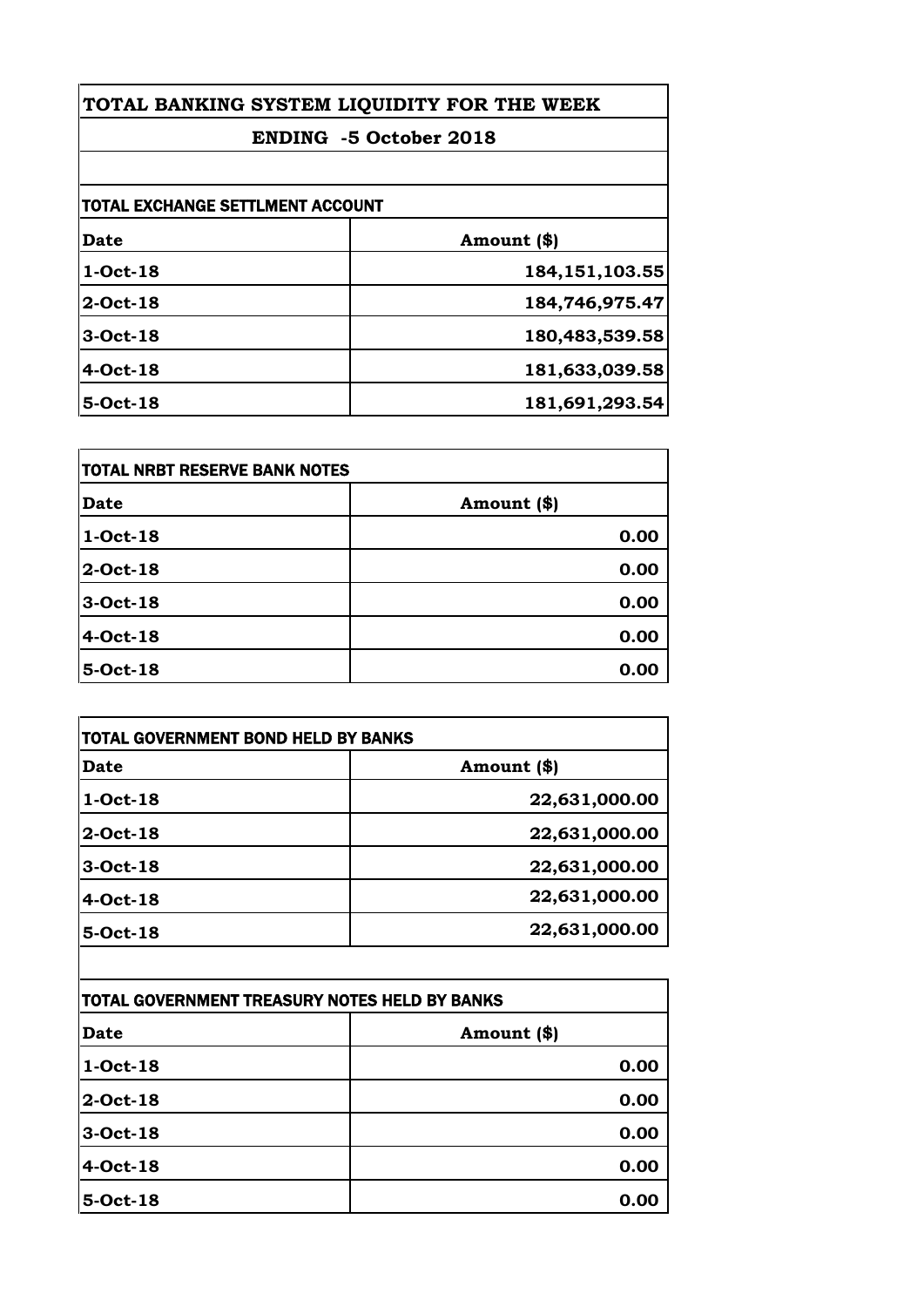| TOTAL BANKING SYSTEM LIQUIDITY FOR THE WEEK<br><b>ENDING -5 October 2018</b> |                   |
|------------------------------------------------------------------------------|-------------------|
|                                                                              |                   |
| TOTAL EXCHANGE SETTLMENT ACCOUNT                                             |                   |
| Date                                                                         | Amount (\$)       |
| $1-Oct-18$                                                                   | 184, 151, 103. 55 |
| 2-Oct-18                                                                     | 184,746,975.47    |
| 3-Oct-18                                                                     | 180,483,539.58    |
| $4-Oct-18$                                                                   | 181,633,039.58    |
| 5-Oct-18                                                                     | 181,691,293.54    |

| <b>TOTAL NRBT RESERVE BANK NOTES</b> |             |
|--------------------------------------|-------------|
| <b>Date</b>                          | Amount (\$) |
| 1-Oct-18                             | 0.00        |
| 2-Oct-18                             | 0.00        |
| 3-Oct-18                             | 0.00        |
| 4-Oct-18                             | 0.00        |
| 5-Oct-18                             | 0.00        |

| <b>Date</b> | Amount (\$)   |
|-------------|---------------|
| 1-Oct-18    | 22,631,000.00 |
| 2-Oct-18    | 22,631,000.00 |
| 3-Oct-18    | 22,631,000.00 |
| 4-Oct-18    | 22,631,000.00 |
| 5-Oct-18    | 22,631,000.00 |

| TOTAL GOVERNMENT TREASURY NOTES HELD BY BANKS |             |
|-----------------------------------------------|-------------|
| Date                                          | Amount (\$) |
| 1-Oct-18                                      | 0.00        |
| 2-Oct-18                                      | 0.00        |
| 3-Oct-18                                      | 0.00        |
| 4-Oct-18                                      | 0.00        |
| 5-Oct-18                                      | 0.00        |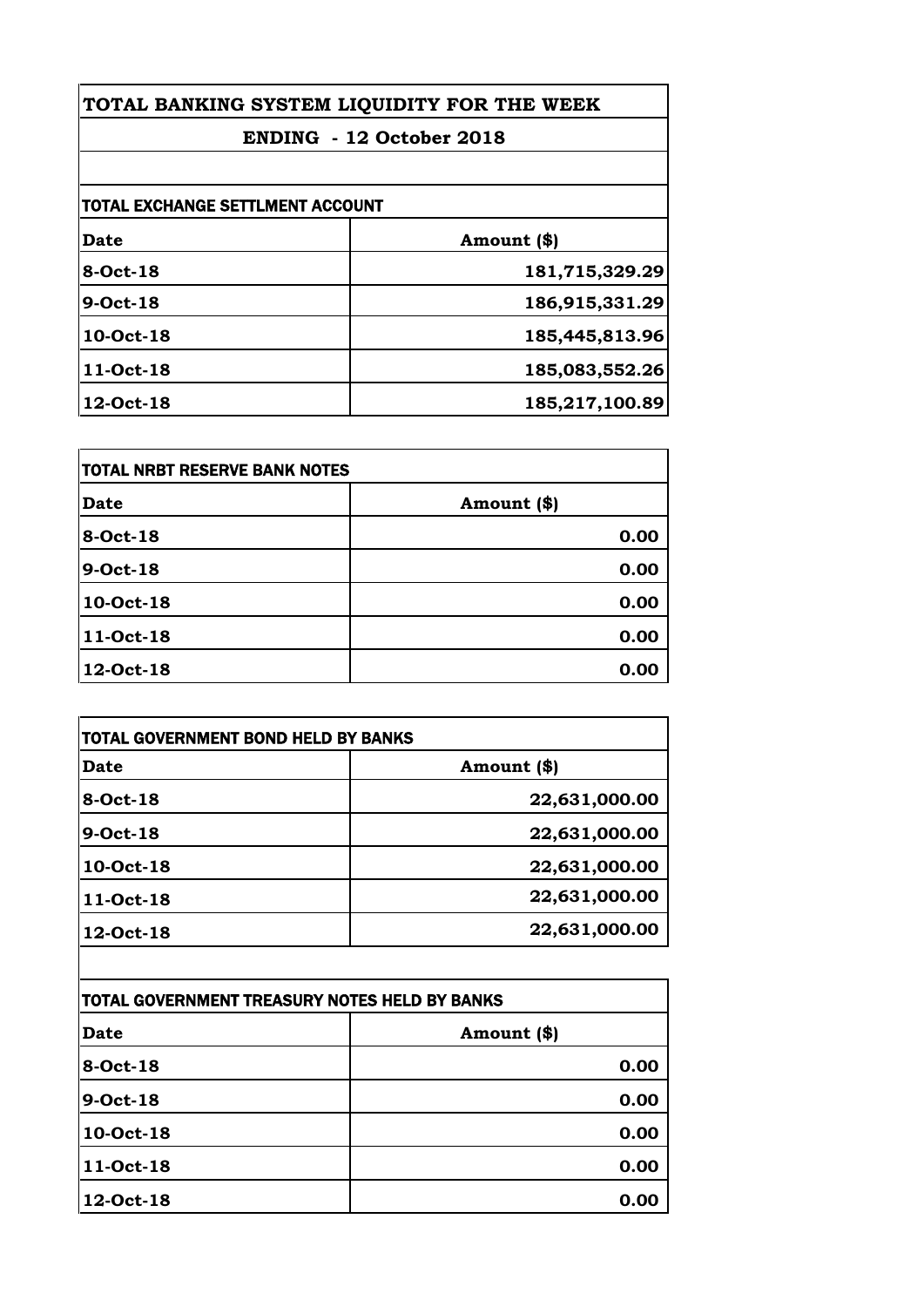| TOTAL BANKING SYSTEM LIQUIDITY FOR THE WEEK<br>ENDING - 12 October 2018 |                |
|-------------------------------------------------------------------------|----------------|
|                                                                         |                |
| <b>TOTAL EXCHANGE SETTLMENT ACCOUNT</b>                                 |                |
| Date                                                                    | Amount (\$)    |
| 8-Oct-18                                                                | 181,715,329.29 |
| 9-Oct-18                                                                | 186,915,331.29 |
| 10-Oct-18                                                               | 185,445,813.96 |
| 11-Oct-18                                                               | 185,083,552.26 |
| 12-Oct-18                                                               | 185,217,100.89 |

| <b>TOTAL NRBT RESERVE BANK NOTES</b> |             |
|--------------------------------------|-------------|
| <b>Date</b>                          | Amount (\$) |
| 8-Oct-18                             | 0.00        |
| 9-Oct-18                             | 0.00        |
| 10-Oct-18                            | 0.00        |
| 11-Oct-18                            | 0.00        |
| 12-Oct-18                            | 0.00        |

| Date      | Amount (\$)   |
|-----------|---------------|
| 8-Oct-18  | 22,631,000.00 |
| 9-Oct-18  | 22,631,000.00 |
| 10-Oct-18 | 22,631,000.00 |
| 11-Oct-18 | 22,631,000.00 |
| 12-Oct-18 | 22,631,000.00 |

| TOTAL GOVERNMENT TREASURY NOTES HELD BY BANKS |             |
|-----------------------------------------------|-------------|
| Date                                          | Amount (\$) |
| 8-Oct-18                                      | 0.00        |
| 9-Oct-18                                      | 0.00        |
| 10-Oct-18                                     | 0.00        |
| 11-Oct-18                                     | 0.00        |
| 12-Oct-18                                     | 0.00        |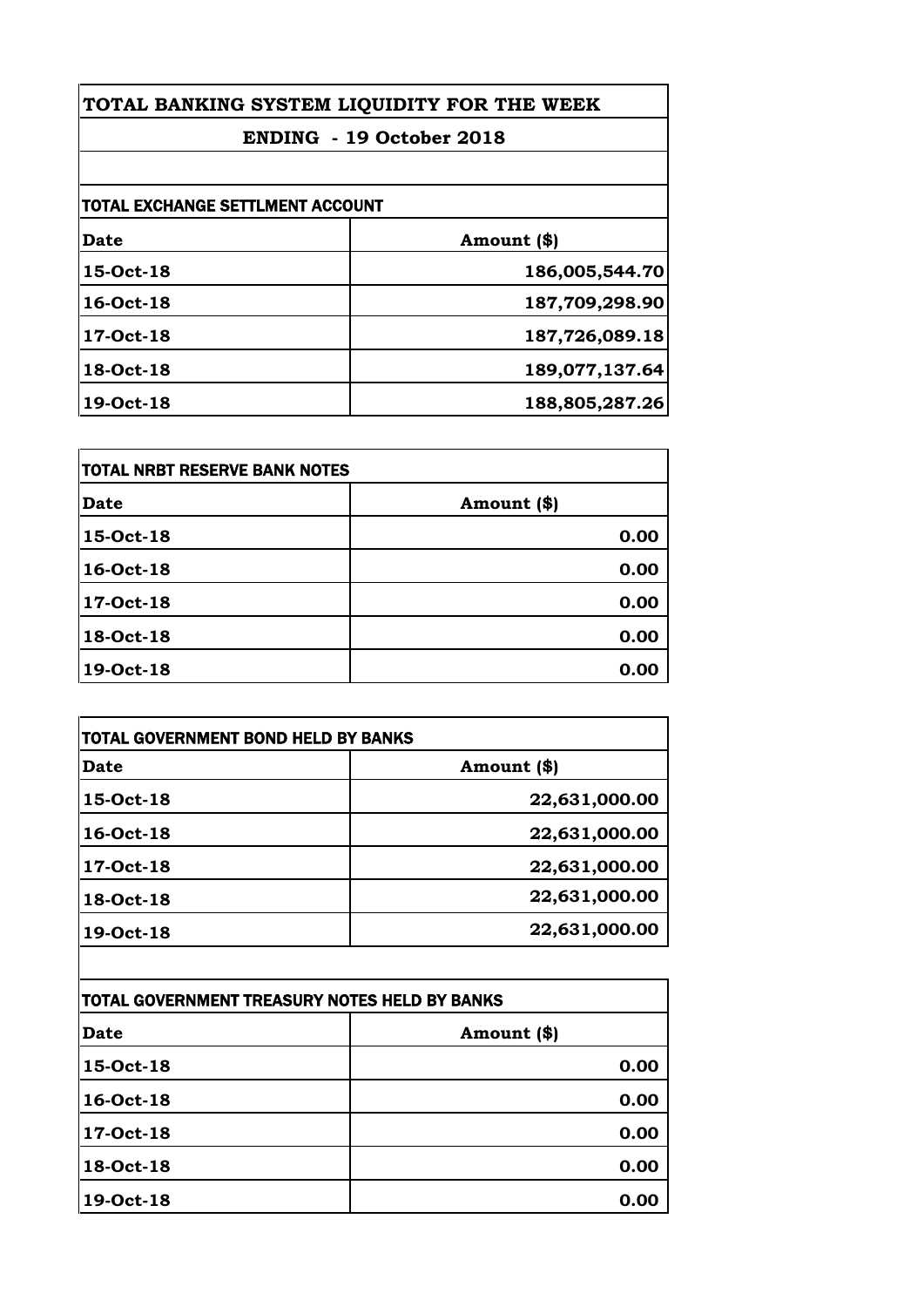| TOTAL BANKING SYSTEM LIQUIDITY FOR THE WEEK<br><b>ENDING - 19 October 2018</b> |                |
|--------------------------------------------------------------------------------|----------------|
|                                                                                |                |
| <b>TOTAL EXCHANGE SETTLMENT ACCOUNT</b>                                        |                |
| <b>Date</b>                                                                    | Amount (\$)    |
| 15-Oct-18                                                                      | 186,005,544.70 |
| 16-Oct-18                                                                      | 187,709,298.90 |
| 17-Oct-18                                                                      | 187,726,089.18 |
| 18-Oct-18                                                                      | 189,077,137.64 |
| 19-Oct-18                                                                      | 188,805,287.26 |

| <b>TOTAL NRBT RESERVE BANK NOTES</b> |             |
|--------------------------------------|-------------|
| <b>Date</b>                          | Amount (\$) |
| 15-Oct-18                            | 0.00        |
| 16-Oct-18                            | 0.00        |
| 17-Oct-18                            | 0.00        |
| 18-Oct-18                            | 0.00        |
| 19-Oct-18                            | 0.00        |

| Date      | Amount (\$)   |
|-----------|---------------|
| 15-Oct-18 | 22,631,000.00 |
| 16-Oct-18 | 22,631,000.00 |
| 17-Oct-18 | 22,631,000.00 |
| 18-Oct-18 | 22,631,000.00 |
| 19-Oct-18 | 22,631,000.00 |

| TOTAL GOVERNMENT TREASURY NOTES HELD BY BANKS |             |
|-----------------------------------------------|-------------|
| Date                                          | Amount (\$) |
| 15-Oct-18                                     | 0.00        |
| 16-Oct-18                                     | 0.00        |
| 17-Oct-18                                     | 0.00        |
| 18-Oct-18                                     | 0.00        |
| 19-Oct-18                                     | 0.00        |